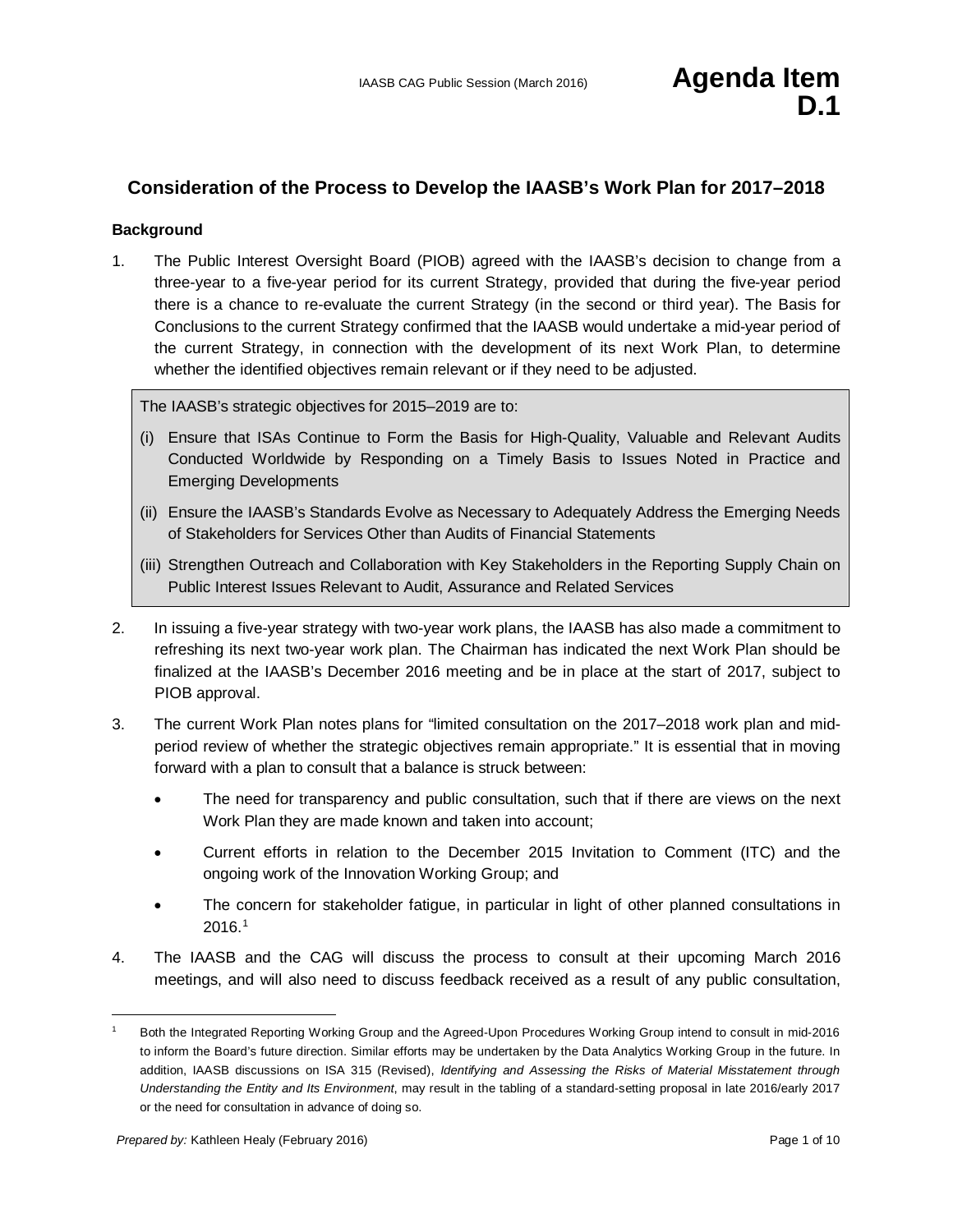## **Consideration of the Process to Develop the IAASB's Work Plan for 2017–2018**

#### **Background**

1. The Public Interest Oversight Board (PIOB) agreed with the IAASB's decision to change from a three-year to a five-year period for its current Strategy, provided that during the five-year period there is a chance to re-evaluate the current Strategy (in the second or third year). The Basis for Conclusions to the current Strategy confirmed that the IAASB would undertake a mid-year period of the current Strategy, in connection with the development of its next Work Plan, to determine whether the identified objectives remain relevant or if they need to be adjusted.

The IAASB's strategic objectives for 2015–2019 are to:

- (i) Ensure that ISAs Continue to Form the Basis for High-Quality, Valuable and Relevant Audits Conducted Worldwide by Responding on a Timely Basis to Issues Noted in Practice and Emerging Developments
- (ii) Ensure the IAASB's Standards Evolve as Necessary to Adequately Address the Emerging Needs of Stakeholders for Services Other than Audits of Financial Statements
- (iii) Strengthen Outreach and Collaboration with Key Stakeholders in the Reporting Supply Chain on Public Interest Issues Relevant to Audit, Assurance and Related Services
- 2. In issuing a five-year strategy with two-year work plans, the IAASB has also made a commitment to refreshing its next two-year work plan. The Chairman has indicated the next Work Plan should be finalized at the IAASB's December 2016 meeting and be in place at the start of 2017, subject to PIOB approval.
- 3. The current Work Plan notes plans for "limited consultation on the 2017–2018 work plan and midperiod review of whether the strategic objectives remain appropriate." It is essential that in moving forward with a plan to consult that a balance is struck between:
	- The need for transparency and public consultation, such that if there are views on the next Work Plan they are made known and taken into account;
	- Current efforts in relation to the December 2015 Invitation to Comment (ITC) and the ongoing work of the Innovation Working Group; and
	- The concern for stakeholder fatigue, in particular in light of other planned consultations in 2016. [1](#page-0-0)
- 4. The IAASB and the CAG will discuss the process to consult at their upcoming March 2016 meetings, and will also need to discuss feedback received as a result of any public consultation,

<span id="page-0-0"></span> <sup>1</sup> Both the Integrated Reporting Working Group and the Agreed-Upon Procedures Working Group intend to consult in mid-2016 to inform the Board's future direction. Similar efforts may be undertaken by the Data Analytics Working Group in the future. In addition, IAASB discussions on ISA 315 (Revised), *Identifying and Assessing the Risks of Material Misstatement through Understanding the Entity and Its Environment*, may result in the tabling of a standard-setting proposal in late 2016/early 2017 or the need for consultation in advance of doing so.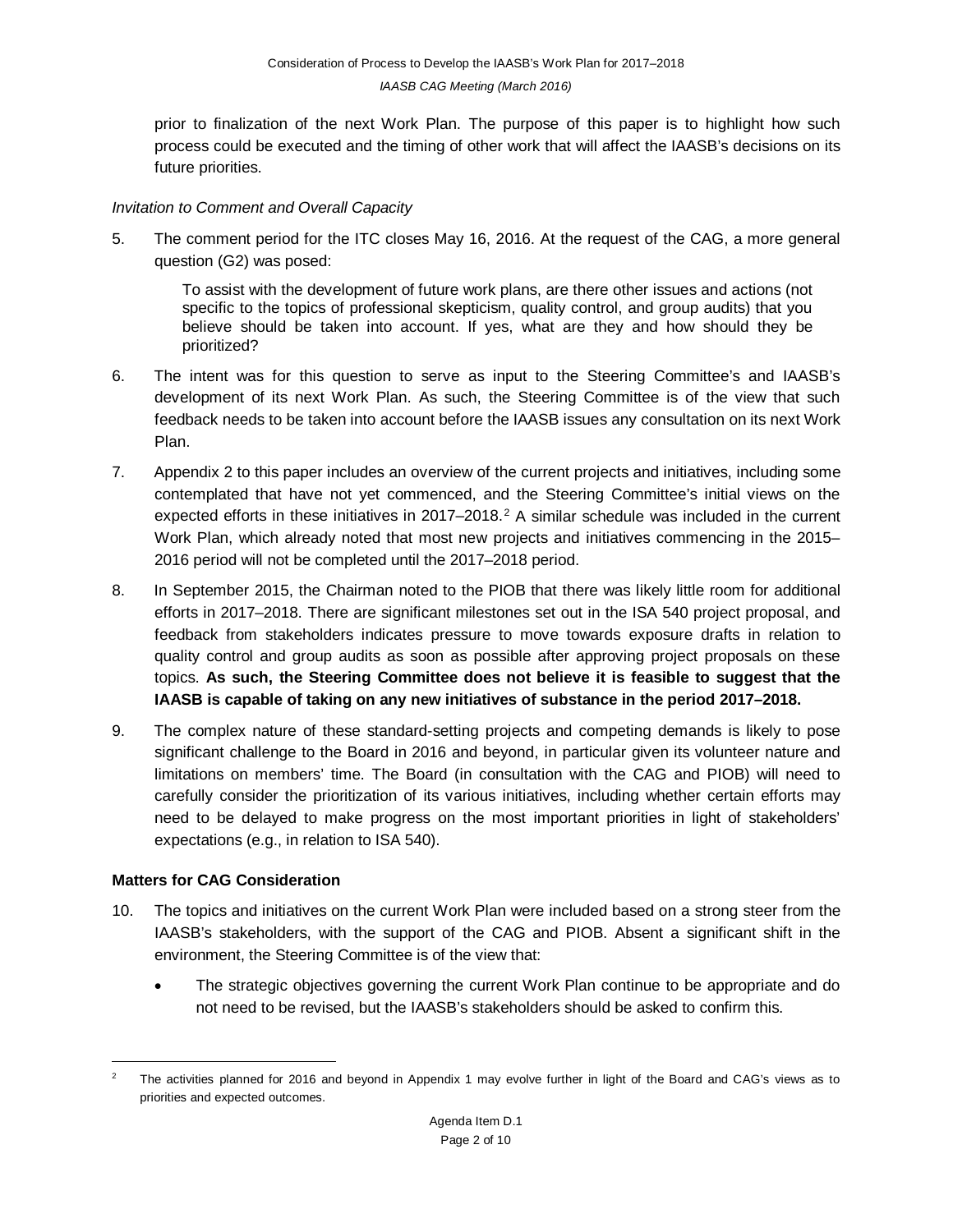prior to finalization of the next Work Plan. The purpose of this paper is to highlight how such process could be executed and the timing of other work that will affect the IAASB's decisions on its future priorities.

#### *Invitation to Comment and Overall Capacity*

5. The comment period for the ITC closes May 16, 2016. At the request of the CAG, a more general question (G2) was posed:

To assist with the development of future work plans, are there other issues and actions (not specific to the topics of professional skepticism, quality control, and group audits) that you believe should be taken into account. If yes, what are they and how should they be prioritized?

- 6. The intent was for this question to serve as input to the Steering Committee's and IAASB's development of its next Work Plan. As such, the Steering Committee is of the view that such feedback needs to be taken into account before the IAASB issues any consultation on its next Work Plan.
- 7. Appendix 2 to this paper includes an overview of the current projects and initiatives, including some contemplated that have not yet commenced, and the Steering Committee's initial views on the expected efforts in these initiatives in [2](#page-1-0)017–2018.<sup>2</sup> A similar schedule was included in the current Work Plan, which already noted that most new projects and initiatives commencing in the 2015– 2016 period will not be completed until the 2017–2018 period.
- 8. In September 2015, the Chairman noted to the PIOB that there was likely little room for additional efforts in 2017–2018. There are significant milestones set out in the ISA 540 project proposal, and feedback from stakeholders indicates pressure to move towards exposure drafts in relation to quality control and group audits as soon as possible after approving project proposals on these topics. **As such, the Steering Committee does not believe it is feasible to suggest that the IAASB is capable of taking on any new initiatives of substance in the period 2017–2018.**
- 9. The complex nature of these standard-setting projects and competing demands is likely to pose significant challenge to the Board in 2016 and beyond, in particular given its volunteer nature and limitations on members' time. The Board (in consultation with the CAG and PIOB) will need to carefully consider the prioritization of its various initiatives, including whether certain efforts may need to be delayed to make progress on the most important priorities in light of stakeholders' expectations (e.g., in relation to ISA 540).

### **Matters for CAG Consideration**

- 10. The topics and initiatives on the current Work Plan were included based on a strong steer from the IAASB's stakeholders, with the support of the CAG and PIOB. Absent a significant shift in the environment, the Steering Committee is of the view that:
	- The strategic objectives governing the current Work Plan continue to be appropriate and do not need to be revised, but the IAASB's stakeholders should be asked to confirm this.

<span id="page-1-0"></span> <sup>2</sup> The activities planned for 2016 and beyond in Appendix 1 may evolve further in light of the Board and CAG's views as to priorities and expected outcomes.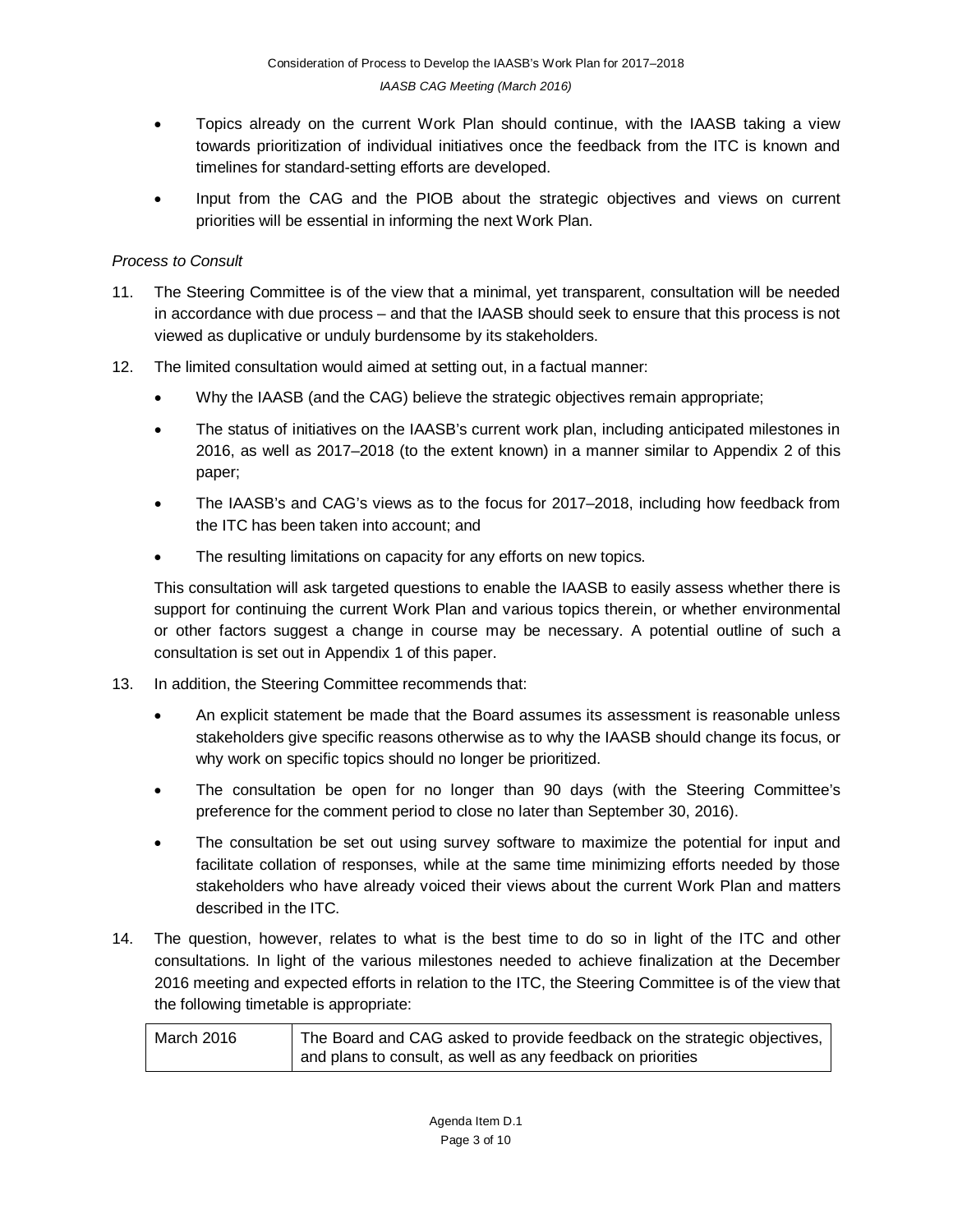- Topics already on the current Work Plan should continue, with the IAASB taking a view towards prioritization of individual initiatives once the feedback from the ITC is known and timelines for standard-setting efforts are developed.
- Input from the CAG and the PIOB about the strategic objectives and views on current priorities will be essential in informing the next Work Plan.

## *Process to Consult*

- 11. The Steering Committee is of the view that a minimal, yet transparent, consultation will be needed in accordance with due process – and that the IAASB should seek to ensure that this process is not viewed as duplicative or unduly burdensome by its stakeholders.
- 12. The limited consultation would aimed at setting out, in a factual manner:
	- Why the IAASB (and the CAG) believe the strategic objectives remain appropriate;
	- The status of initiatives on the IAASB's current work plan, including anticipated milestones in 2016, as well as 2017–2018 (to the extent known) in a manner similar to Appendix 2 of this paper;
	- The IAASB's and CAG's views as to the focus for 2017–2018, including how feedback from the ITC has been taken into account; and
	- The resulting limitations on capacity for any efforts on new topics.

This consultation will ask targeted questions to enable the IAASB to easily assess whether there is support for continuing the current Work Plan and various topics therein, or whether environmental or other factors suggest a change in course may be necessary. A potential outline of such a consultation is set out in Appendix 1 of this paper.

- 13. In addition, the Steering Committee recommends that:
	- An explicit statement be made that the Board assumes its assessment is reasonable unless stakeholders give specific reasons otherwise as to why the IAASB should change its focus, or why work on specific topics should no longer be prioritized.
	- The consultation be open for no longer than 90 days (with the Steering Committee's preference for the comment period to close no later than September 30, 2016).
	- The consultation be set out using survey software to maximize the potential for input and facilitate collation of responses, while at the same time minimizing efforts needed by those stakeholders who have already voiced their views about the current Work Plan and matters described in the ITC.
- 14. The question, however, relates to what is the best time to do so in light of the ITC and other consultations. In light of the various milestones needed to achieve finalization at the December 2016 meeting and expected efforts in relation to the ITC, the Steering Committee is of the view that the following timetable is appropriate:

| March 2016 | The Board and CAG asked to provide feedback on the strategic objectives, |  |
|------------|--------------------------------------------------------------------------|--|
|            | and plans to consult, as well as any feedback on priorities              |  |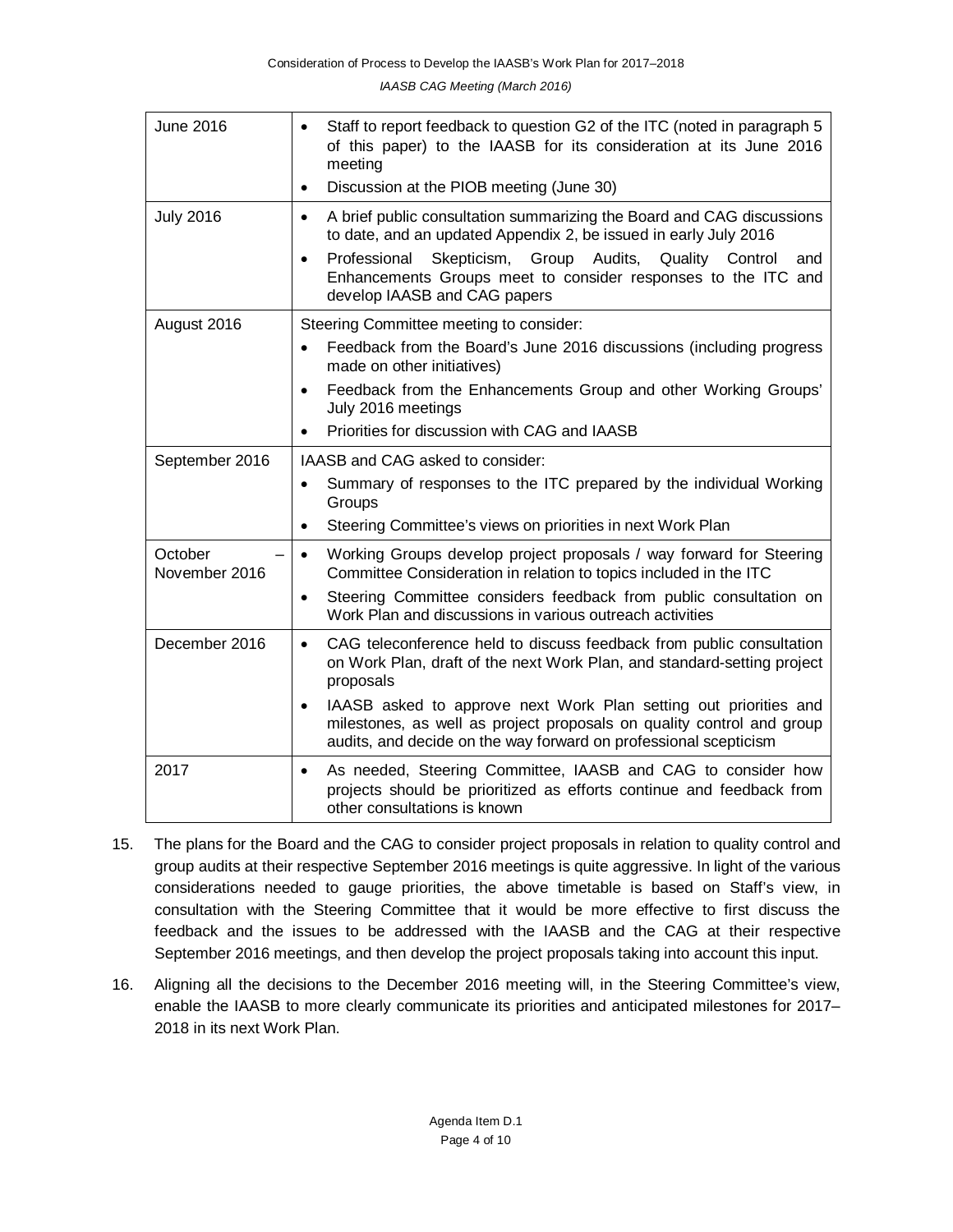*IAASB CAG Meeting (March 2016)*

| <b>June 2016</b>         | Staff to report feedback to question G2 of the ITC (noted in paragraph 5<br>$\bullet$<br>of this paper) to the IAASB for its consideration at its June 2016<br>meeting                                                                                                                                                                   |  |  |  |
|--------------------------|------------------------------------------------------------------------------------------------------------------------------------------------------------------------------------------------------------------------------------------------------------------------------------------------------------------------------------------|--|--|--|
|                          | Discussion at the PIOB meeting (June 30)<br>$\bullet$                                                                                                                                                                                                                                                                                    |  |  |  |
| <b>July 2016</b>         | A brief public consultation summarizing the Board and CAG discussions<br>$\bullet$<br>to date, and an updated Appendix 2, be issued in early July 2016<br>Professional<br>Skepticism, Group Audits, Quality Control<br>and<br>$\bullet$<br>Enhancements Groups meet to consider responses to the ITC and<br>develop IAASB and CAG papers |  |  |  |
| August 2016              | Steering Committee meeting to consider:                                                                                                                                                                                                                                                                                                  |  |  |  |
|                          | Feedback from the Board's June 2016 discussions (including progress<br>$\bullet$<br>made on other initiatives)                                                                                                                                                                                                                           |  |  |  |
|                          | Feedback from the Enhancements Group and other Working Groups'<br>$\bullet$<br>July 2016 meetings                                                                                                                                                                                                                                        |  |  |  |
|                          | Priorities for discussion with CAG and IAASB<br>$\bullet$                                                                                                                                                                                                                                                                                |  |  |  |
| September 2016           | IAASB and CAG asked to consider:                                                                                                                                                                                                                                                                                                         |  |  |  |
|                          | Summary of responses to the ITC prepared by the individual Working<br>$\bullet$<br>Groups                                                                                                                                                                                                                                                |  |  |  |
|                          | Steering Committee's views on priorities in next Work Plan<br>$\bullet$                                                                                                                                                                                                                                                                  |  |  |  |
| October<br>November 2016 | Working Groups develop project proposals / way forward for Steering<br>$\bullet$<br>Committee Consideration in relation to topics included in the ITC                                                                                                                                                                                    |  |  |  |
|                          | Steering Committee considers feedback from public consultation on<br>$\bullet$<br>Work Plan and discussions in various outreach activities                                                                                                                                                                                               |  |  |  |
| December 2016            | CAG teleconference held to discuss feedback from public consultation<br>$\bullet$<br>on Work Plan, draft of the next Work Plan, and standard-setting project<br>proposals                                                                                                                                                                |  |  |  |
|                          | IAASB asked to approve next Work Plan setting out priorities and<br>$\bullet$<br>milestones, as well as project proposals on quality control and group<br>audits, and decide on the way forward on professional scepticism                                                                                                               |  |  |  |
| 2017                     | As needed, Steering Committee, IAASB and CAG to consider how<br>$\bullet$<br>projects should be prioritized as efforts continue and feedback from<br>other consultations is known                                                                                                                                                        |  |  |  |

- 15. The plans for the Board and the CAG to consider project proposals in relation to quality control and group audits at their respective September 2016 meetings is quite aggressive. In light of the various considerations needed to gauge priorities, the above timetable is based on Staff's view, in consultation with the Steering Committee that it would be more effective to first discuss the feedback and the issues to be addressed with the IAASB and the CAG at their respective September 2016 meetings, and then develop the project proposals taking into account this input.
- 16. Aligning all the decisions to the December 2016 meeting will, in the Steering Committee's view, enable the IAASB to more clearly communicate its priorities and anticipated milestones for 2017– 2018 in its next Work Plan.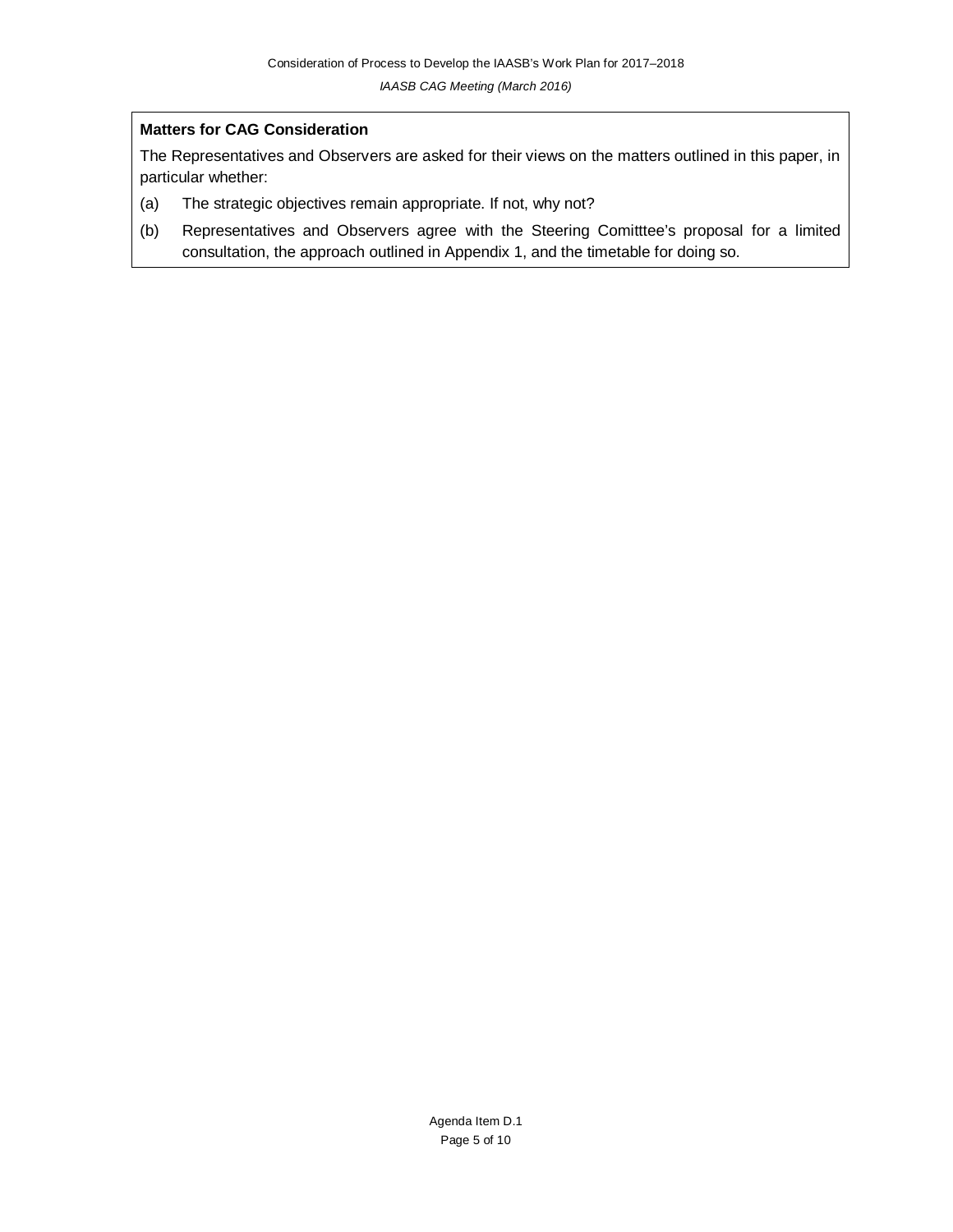#### **Matters for CAG Consideration**

The Representatives and Observers are asked for their views on the matters outlined in this paper, in particular whether:

- (a) The strategic objectives remain appropriate. If not, why not?
- (b) Representatives and Observers agree with the Steering Comitttee's proposal for a limited consultation, the approach outlined in Appendix 1, and the timetable for doing so.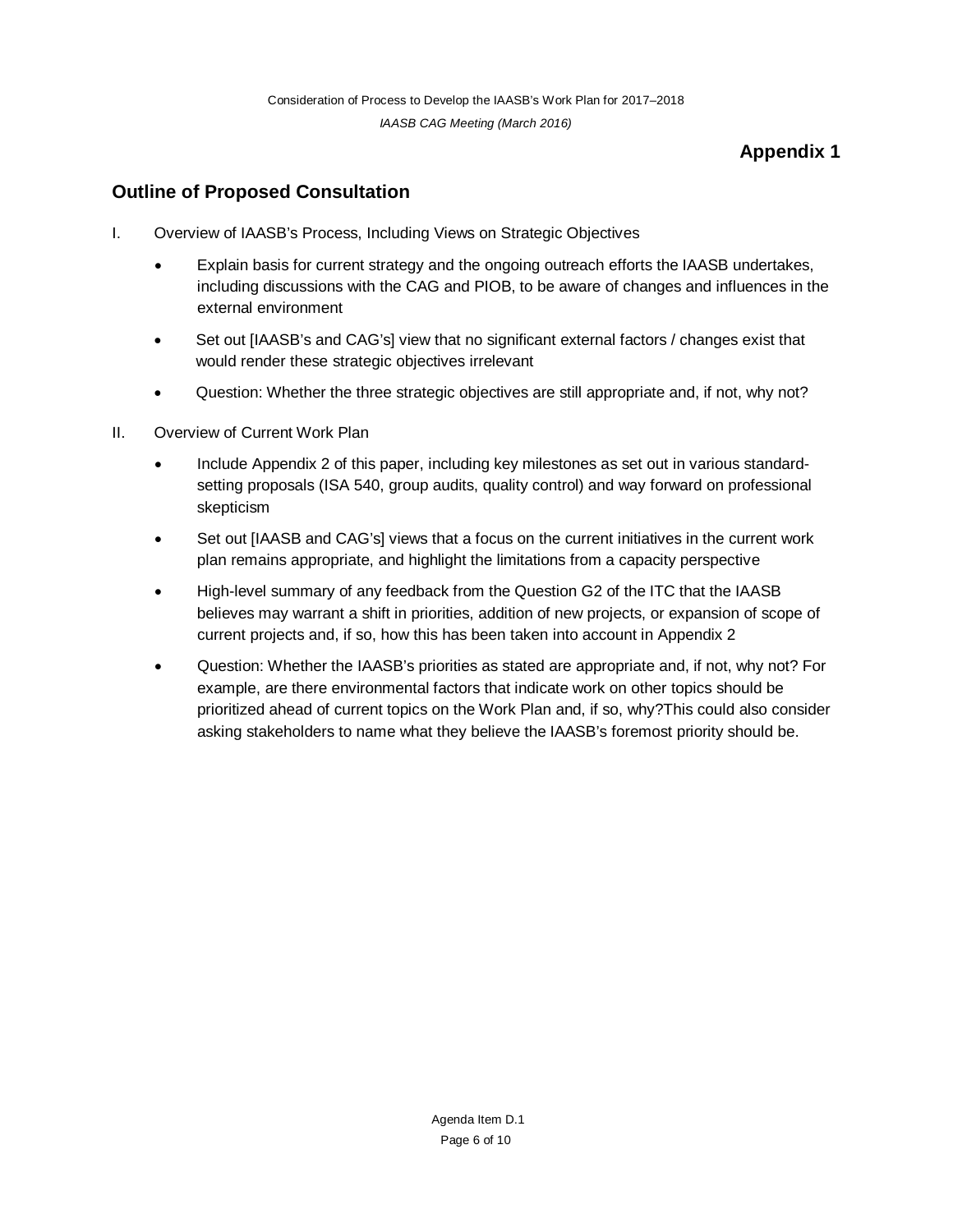## **Appendix 1**

## **Outline of Proposed Consultation**

- I. Overview of IAASB's Process, Including Views on Strategic Objectives
	- Explain basis for current strategy and the ongoing outreach efforts the IAASB undertakes, including discussions with the CAG and PIOB, to be aware of changes and influences in the external environment
	- Set out [IAASB's and CAG's] view that no significant external factors / changes exist that would render these strategic objectives irrelevant
	- Question: Whether the three strategic objectives are still appropriate and, if not, why not?
- II. Overview of Current Work Plan
	- Include Appendix 2 of this paper, including key milestones as set out in various standardsetting proposals (ISA 540, group audits, quality control) and way forward on professional skepticism
	- Set out [IAASB and CAG's] views that a focus on the current initiatives in the current work plan remains appropriate, and highlight the limitations from a capacity perspective
	- High-level summary of any feedback from the Question G2 of the ITC that the IAASB believes may warrant a shift in priorities, addition of new projects, or expansion of scope of current projects and, if so, how this has been taken into account in Appendix 2
	- Question: Whether the IAASB's priorities as stated are appropriate and, if not, why not? For example, are there environmental factors that indicate work on other topics should be prioritized ahead of current topics on the Work Plan and, if so, why?This could also consider asking stakeholders to name what they believe the IAASB's foremost priority should be.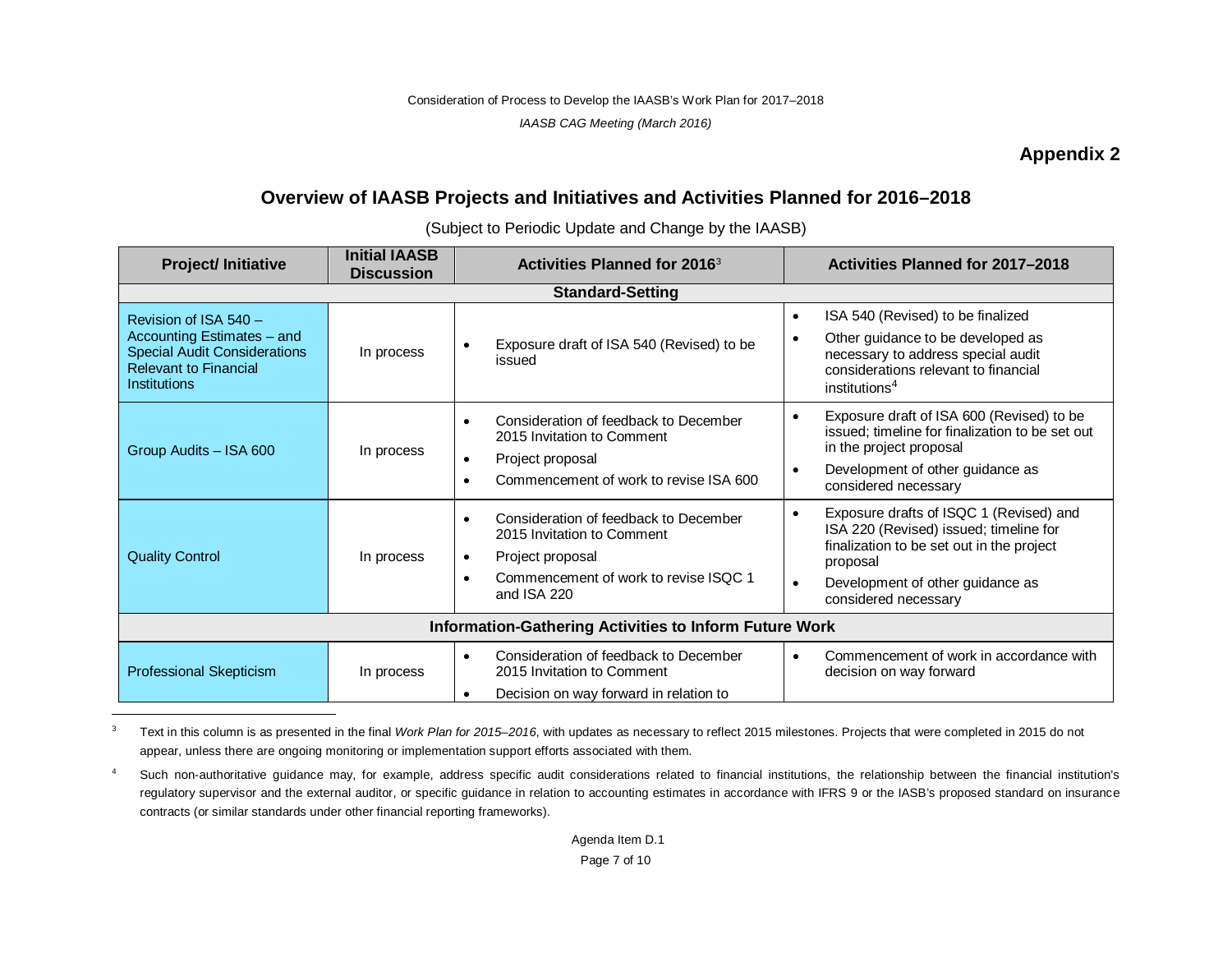Consideration of Process to Develop the IAASB's Work Plan for 2017–2018

<span id="page-6-1"></span><span id="page-6-0"></span>*IAASB CAG Meeting (March 2016)*

## **Appendix 2**

# **Overview of IAASB Projects and Initiatives and Activities Planned for 2016–2018**

(Subject to Periodic Update and Change by the IAASB)

| <b>Project/Initiative</b>                                                                                                                         | <b>Initial IAASB</b><br><b>Discussion</b> | Activities Planned for 2016 <sup>3</sup>                                                                                                                                  | Activities Planned for 2017-2018                                                                                                                                                                                    |  |  |  |
|---------------------------------------------------------------------------------------------------------------------------------------------------|-------------------------------------------|---------------------------------------------------------------------------------------------------------------------------------------------------------------------------|---------------------------------------------------------------------------------------------------------------------------------------------------------------------------------------------------------------------|--|--|--|
| <b>Standard-Setting</b>                                                                                                                           |                                           |                                                                                                                                                                           |                                                                                                                                                                                                                     |  |  |  |
| Revision of ISA 540 -<br>Accounting Estimates - and<br><b>Special Audit Considerations</b><br><b>Relevant to Financial</b><br><b>Institutions</b> | In process                                | Exposure draft of ISA 540 (Revised) to be<br>issued                                                                                                                       | ISA 540 (Revised) to be finalized<br>$\bullet$<br>Other guidance to be developed as<br>necessary to address special audit<br>considerations relevant to financial<br>institutions <sup>4</sup>                      |  |  |  |
| Group Audits - ISA 600                                                                                                                            | In process                                | Consideration of feedback to December<br>$\bullet$<br>2015 Invitation to Comment<br>Project proposal<br>$\bullet$<br>Commencement of work to revise ISA 600               | Exposure draft of ISA 600 (Revised) to be<br>issued; timeline for finalization to be set out<br>in the project proposal<br>Development of other guidance as<br>$\bullet$<br>considered necessary                    |  |  |  |
| <b>Quality Control</b>                                                                                                                            | In process                                | Consideration of feedback to December<br>2015 Invitation to Comment<br>Project proposal<br>$\bullet$<br>Commencement of work to revise ISQC 1<br>$\bullet$<br>and ISA 220 | Exposure drafts of ISQC 1 (Revised) and<br>ISA 220 (Revised) issued; timeline for<br>finalization to be set out in the project<br>proposal<br>Development of other guidance as<br>$\bullet$<br>considered necessary |  |  |  |
| <b>Information-Gathering Activities to Inform Future Work</b>                                                                                     |                                           |                                                                                                                                                                           |                                                                                                                                                                                                                     |  |  |  |
| <b>Professional Skepticism</b>                                                                                                                    | In process                                | Consideration of feedback to December<br>$\bullet$<br>2015 Invitation to Comment<br>Decision on way forward in relation to<br>$\bullet$                                   | Commencement of work in accordance with<br>decision on way forward                                                                                                                                                  |  |  |  |

<sup>&</sup>lt;sup>3</sup> Text in this column is as presented in the final *Work Plan for 2015–2016*, with updates as necessary to reflect 2015 milestones. Projects that were completed in 2015 do not appear, unless there are ongoing monitoring or implementation support efforts associated with them.

<sup>&</sup>lt;sup>4</sup> Such non-authoritative guidance may, for example, address specific audit considerations related to financial institutions, the relationship between the financial institution's regulatory supervisor and the external auditor, or specific guidance in relation to accounting estimates in accordance with IFRS 9 or the IASB's proposed standard on insurance contracts (or similar standards under other financial reporting frameworks).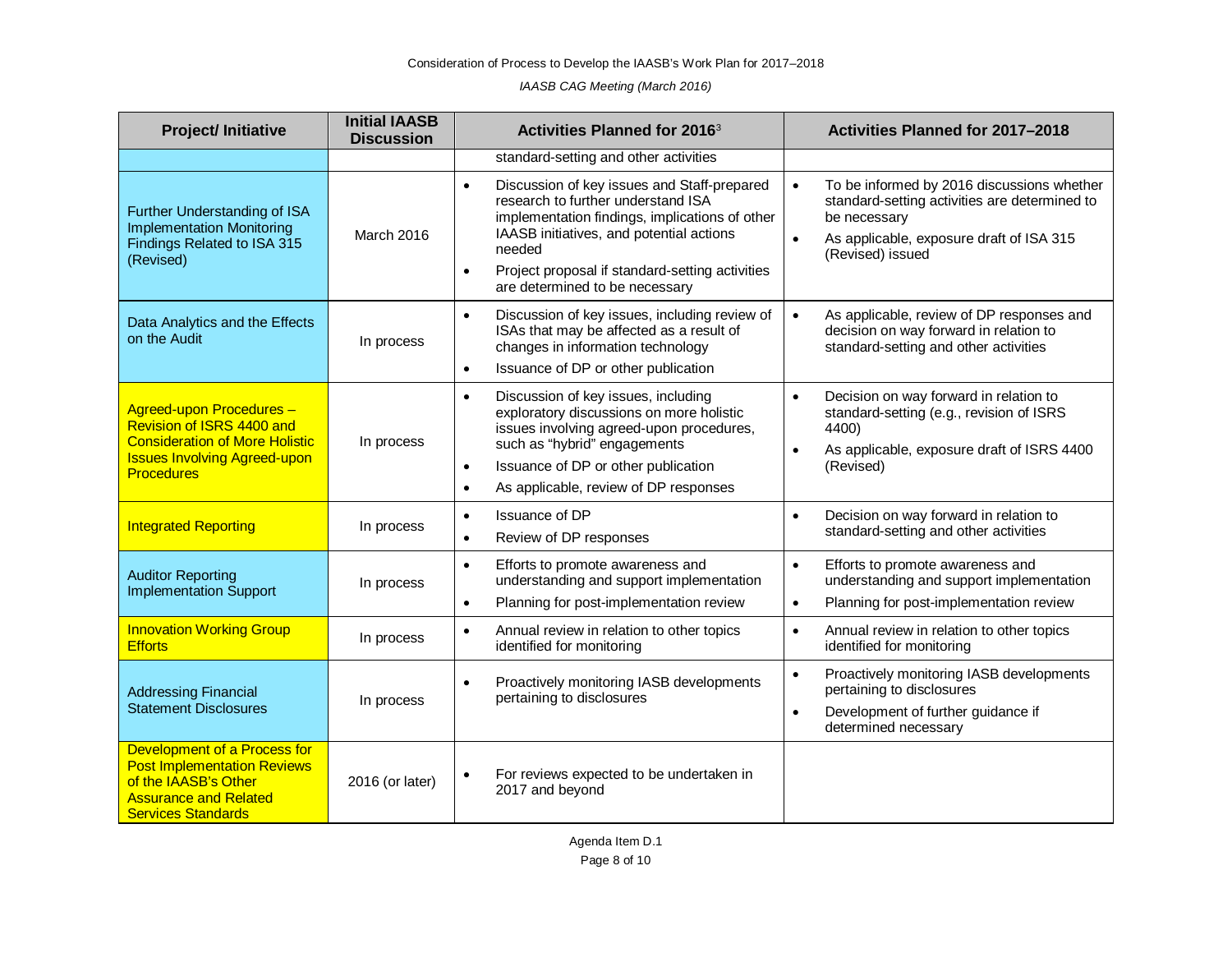*IAASB CAG Meeting (March 2016)*

| <b>Project/Initiative</b>                                                                                                                                  | <b>Initial IAASB</b><br><b>Discussion</b> | <b>Activities Planned for 20163</b>                                                                                                                                                                                                                                                                      | Activities Planned for 2017-2018                                                                                                                                                                      |
|------------------------------------------------------------------------------------------------------------------------------------------------------------|-------------------------------------------|----------------------------------------------------------------------------------------------------------------------------------------------------------------------------------------------------------------------------------------------------------------------------------------------------------|-------------------------------------------------------------------------------------------------------------------------------------------------------------------------------------------------------|
|                                                                                                                                                            |                                           | standard-setting and other activities                                                                                                                                                                                                                                                                    |                                                                                                                                                                                                       |
| Further Understanding of ISA<br><b>Implementation Monitoring</b><br>Findings Related to ISA 315<br>(Revised)                                               | March 2016                                | Discussion of key issues and Staff-prepared<br>$\bullet$<br>research to further understand ISA<br>implementation findings, implications of other<br>IAASB initiatives, and potential actions<br>needed<br>Project proposal if standard-setting activities<br>$\bullet$<br>are determined to be necessary | To be informed by 2016 discussions whether<br>$\bullet$<br>standard-setting activities are determined to<br>be necessary<br>As applicable, exposure draft of ISA 315<br>$\bullet$<br>(Revised) issued |
| Data Analytics and the Effects<br>on the Audit                                                                                                             | In process                                | Discussion of key issues, including review of<br>$\bullet$<br>ISAs that may be affected as a result of<br>changes in information technology<br>Issuance of DP or other publication<br>$\bullet$                                                                                                          | As applicable, review of DP responses and<br>$\bullet$<br>decision on way forward in relation to<br>standard-setting and other activities                                                             |
| Agreed-upon Procedures -<br>Revision of ISRS 4400 and<br><b>Consideration of More Holistic</b><br><b>Issues Involving Agreed-upon</b><br><b>Procedures</b> | In process                                | Discussion of key issues, including<br>$\bullet$<br>exploratory discussions on more holistic<br>issues involving agreed-upon procedures,<br>such as "hybrid" engagements<br>Issuance of DP or other publication<br>$\bullet$<br>As applicable, review of DP responses<br>$\bullet$                       | Decision on way forward in relation to<br>$\bullet$<br>standard-setting (e.g., revision of ISRS<br>4400)<br>As applicable, exposure draft of ISRS 4400<br>$\bullet$<br>(Revised)                      |
| <b>Integrated Reporting</b>                                                                                                                                | In process                                | Issuance of DP<br>$\bullet$<br>Review of DP responses<br>$\bullet$                                                                                                                                                                                                                                       | Decision on way forward in relation to<br>$\bullet$<br>standard-setting and other activities                                                                                                          |
| <b>Auditor Reporting</b><br><b>Implementation Support</b>                                                                                                  | In process                                | Efforts to promote awareness and<br>$\bullet$<br>understanding and support implementation<br>Planning for post-implementation review<br>$\bullet$                                                                                                                                                        | $\bullet$<br>Efforts to promote awareness and<br>understanding and support implementation<br>Planning for post-implementation review<br>$\bullet$                                                     |
| <b>Innovation Working Group</b><br><b>Efforts</b>                                                                                                          | In process                                | Annual review in relation to other topics<br>$\bullet$<br>identified for monitoring                                                                                                                                                                                                                      | Annual review in relation to other topics<br>$\bullet$<br>identified for monitoring                                                                                                                   |
| <b>Addressing Financial</b><br><b>Statement Disclosures</b>                                                                                                | In process                                | Proactively monitoring IASB developments<br>$\bullet$<br>pertaining to disclosures                                                                                                                                                                                                                       | Proactively monitoring IASB developments<br>$\bullet$<br>pertaining to disclosures<br>Development of further guidance if<br>$\bullet$<br>determined necessary                                         |
| Development of a Process for<br><b>Post Implementation Reviews</b><br>of the IAASB's Other<br><b>Assurance and Related</b><br><b>Services Standards</b>    | 2016 (or later)                           | For reviews expected to be undertaken in<br>$\bullet$<br>2017 and beyond                                                                                                                                                                                                                                 |                                                                                                                                                                                                       |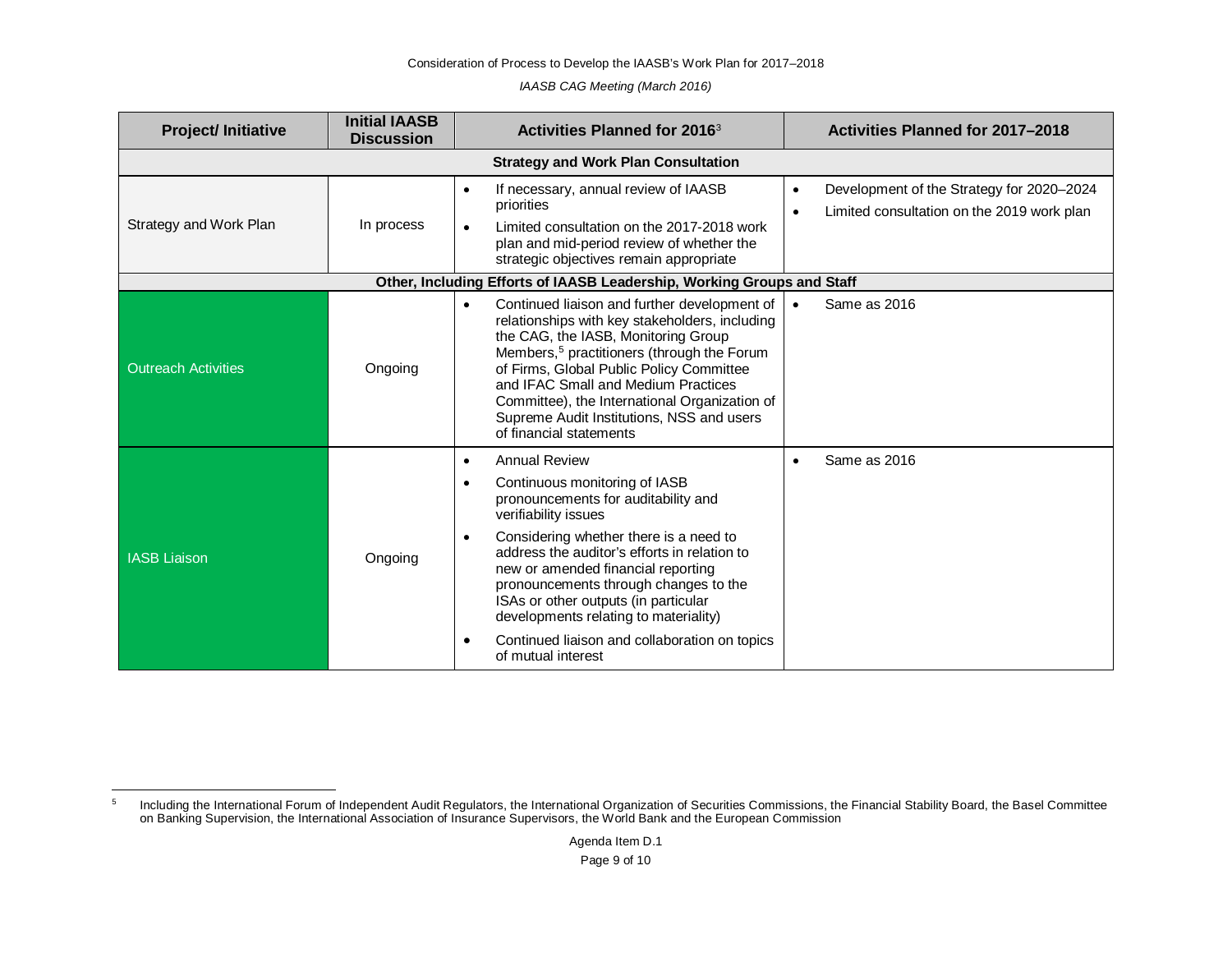Consideration of Process to Develop the IAASB's Work Plan for 2017–2018

<span id="page-8-0"></span>*IAASB CAG Meeting (March 2016)*

| <b>Project/Initiative</b>  | <b>Initial IAASB</b><br><b>Discussion</b>  | <b>Activities Planned for 2016<sup>3</sup></b>                                                                                                                                                                                                                                                                                                                                                                                                                                               | Activities Planned for 2017-2018                                                        |  |  |  |  |
|----------------------------|--------------------------------------------|----------------------------------------------------------------------------------------------------------------------------------------------------------------------------------------------------------------------------------------------------------------------------------------------------------------------------------------------------------------------------------------------------------------------------------------------------------------------------------------------|-----------------------------------------------------------------------------------------|--|--|--|--|
|                            | <b>Strategy and Work Plan Consultation</b> |                                                                                                                                                                                                                                                                                                                                                                                                                                                                                              |                                                                                         |  |  |  |  |
| Strategy and Work Plan     | In process                                 | If necessary, annual review of IAASB<br>٠<br>priorities<br>Limited consultation on the 2017-2018 work<br>$\bullet$<br>plan and mid-period review of whether the<br>strategic objectives remain appropriate                                                                                                                                                                                                                                                                                   | Development of the Strategy for 2020-2024<br>Limited consultation on the 2019 work plan |  |  |  |  |
|                            |                                            | Other, Including Efforts of IAASB Leadership, Working Groups and Staff                                                                                                                                                                                                                                                                                                                                                                                                                       |                                                                                         |  |  |  |  |
| <b>Outreach Activities</b> | Ongoing                                    | Continued liaison and further development of<br>$\bullet$<br>relationships with key stakeholders, including<br>the CAG, the IASB, Monitoring Group<br>Members, <sup>5</sup> practitioners (through the Forum<br>of Firms, Global Public Policy Committee<br>and IFAC Small and Medium Practices<br>Committee), the International Organization of<br>Supreme Audit Institutions, NSS and users<br>of financial statements                                                                     | Same as 2016                                                                            |  |  |  |  |
| <b>IASB Liaison</b>        | Ongoing                                    | <b>Annual Review</b><br>$\bullet$<br>Continuous monitoring of IASB<br>$\bullet$<br>pronouncements for auditability and<br>verifiability issues<br>Considering whether there is a need to<br>$\bullet$<br>address the auditor's efforts in relation to<br>new or amended financial reporting<br>pronouncements through changes to the<br>ISAs or other outputs (in particular<br>developments relating to materiality)<br>Continued liaison and collaboration on topics<br>of mutual interest | Same as 2016                                                                            |  |  |  |  |

 <sup>5</sup> Including the International Forum of Independent Audit Regulators, the International Organization of Securities Commissions, the Financial Stability Board, the Basel Committee on Banking Supervision, the International Association of Insurance Supervisors, the World Bank and the European Commission